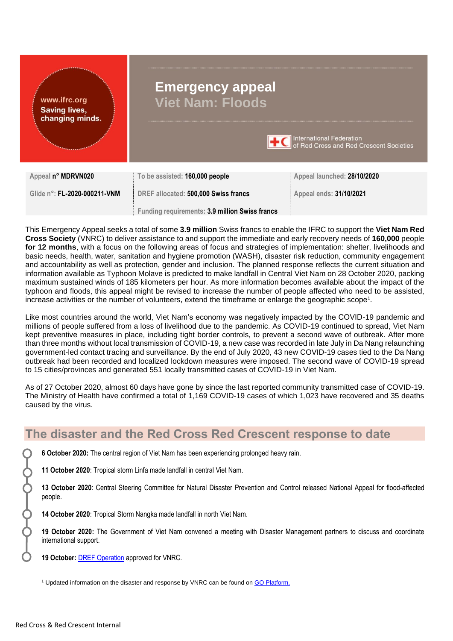| www.ifrc.org<br><b>Saving lives,</b><br>changing minds. | <b>Emergency appeal</b><br><b>Viet Nam: Floods</b><br><b>TEC</b> International Federation<br>of Red Cross and Red Crescent Societies |                             |
|---------------------------------------------------------|--------------------------------------------------------------------------------------------------------------------------------------|-----------------------------|
| Appeal n° MDRVN020                                      | To be assisted: 160,000 people                                                                                                       | Appeal launched: 28/10/2020 |
| Glide n°: FL-2020-000211-VNM                            | DREF allocated: 500,000 Swiss francs                                                                                                 | Appeal ends: 31/10/2021     |
|                                                         | Funding requirements: 3.9 million Swiss francs                                                                                       |                             |

This Emergency Appeal seeks a total of some **3.9 million** Swiss francs to enable the IFRC to support the **Viet Nam Red Cross Society** (VNRC) to deliver assistance to and support the immediate and early recovery needs of **160,000** people **for 12 months**, with a focus on the following areas of focus and strategies of implementation: shelter, livelihoods and basic needs, health, water, sanitation and hygiene promotion (WASH), disaster risk reduction, community engagement and accountability as well as protection, gender and inclusion. The planned response reflects the current situation and information available as Typhoon Molave is predicted to make landfall in Central Viet Nam on 28 October 2020, packing maximum sustained winds of 185 kilometers per hour. As more information becomes available about the impact of the typhoon and floods, this appeal might be revised to increase the number of people affected who need to be assisted, increase activities or the number of volunteers, extend the timeframe or enlarge the geographic scope<sup>1</sup> *.*

Like most countries around the world, Viet Nam's economy was negatively impacted by the COVID-19 pandemic and millions of people suffered from a loss of livelihood due to the pandemic. As COVID-19 continued to spread, Viet Nam kept preventive measures in place, including tight border controls, to prevent a second wave of outbreak. After more than three months without local transmission of COVID-19, a new case was recorded in late July in Da Nang relaunching government-led contact tracing and surveillance. By the end of July 2020, 43 new COVID-19 cases tied to the Da Nang outbreak had been recorded and localized lockdown measures were imposed. The second wave of COVID-19 spread to 15 cities/provinces and generated 551 locally transmitted cases of COVID-19 in Viet Nam.

As of 27 October 2020, almost 60 days have gone by since the last reported community transmitted case of COVID-19. The Ministry of Health have confirmed a total of 1,169 COVID-19 cases of which 1,023 have recovered and 35 deaths caused by the virus.

# **The disaster and the Red Cross Red Crescent response to date**

**6 October 2020:** The central region of Viet Nam has been experiencing prolonged heavy rain.

**11 October 2020**: Tropical storm Linfa made landfall in central Viet Nam.

**13 October 2020**: Central Steering Committee for Natural Disaster Prevention and Control released National Appeal for flood-affected people.

**14 October 2020**: Tropical Storm Nangka made landfall in north Viet Nam.

**19 October 2020:** The Government of Viet Nam convened a meeting with Disaster Management partners to discuss and coordinate international support.

**19 October:** [DREF Operation](http://adore.ifrc.org/Download.aspx?FileId=352940) approved for VNRC.

<sup>&</sup>lt;sup>1</sup> Updated information on the disaster and response by VNRC can be found on **GO Platform.**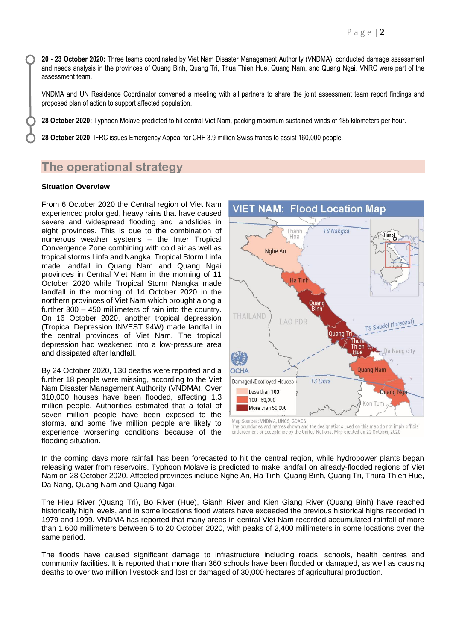**20 - 23 October 2020:** Three teams coordinated by Viet Nam Disaster Management Authority (VNDMA), conducted damage assessment and needs analysis in the provinces of Quang Binh, Quang Tri, Thua Thien Hue, Quang Nam, and Quang Ngai. VNRC were part of the assessment team.

VNDMA and UN Residence Coordinator convened a meeting with all partners to share the joint assessment team report findings and proposed plan of action to support affected population.

**28 October 2020:** Typhoon Molave predicted to hit central Viet Nam, packing maximum sustained winds of 185 kilometers per hour.

**28 October 2020**: IFRC issues Emergency Appeal for CHF 3.9 million Swiss francs to assist 160,000 people.

# **The operational strategy**

### **Situation Overview**

From 6 October 2020 the Central region of Viet Nam experienced prolonged, heavy rains that have caused severe and widespread flooding and landslides in eight provinces. This is due to the combination of numerous weather systems – the Inter Tropical Convergence Zone combining with cold air as well as tropical storms Linfa and Nangka. Tropical Storm Linfa made landfall in Quang Nam and Quang Ngai provinces in Central Viet Nam in the morning of 11 October 2020 while Tropical Storm Nangka made landfall in the morning of 14 October 2020 in the northern provinces of Viet Nam which brought along a further 300 – 450 millimeters of rain into the country. On 16 October 2020, another tropical depression (Tropical Depression INVEST 94W) made landfall in the central provinces of Viet Nam. The tropical depression had weakened into a low-pressure area and dissipated after landfall.

By 24 October 2020, 130 deaths were reported and a further 18 people were missing, according to the Viet Nam Disaster Management Authority (VNDMA). Over 310,000 houses have been flooded, affecting 1.3 million people. Authorities estimated that a total of seven million people have been exposed to the storms, and some five million people are likely to experience worsening conditions because of the flooding situation.



The boundaries and names shown and the designations used on this map do not imply official<br>endorsement or acceptance by the United Nations. Map created on 22 October, 2020

In the coming days more rainfall has been forecasted to hit the central region, while hydropower plants began releasing water from reservoirs. Typhoon Molave is predicted to make landfall on already-flooded regions of Viet Nam on 28 October 2020. Affected provinces include Nghe An, Ha Tinh, Quang Binh, Quang Tri, Thura Thien Hue, Da Nang, Quang Nam and Quang Ngai.

The Hieu River (Quang Tri), Bo River (Hue), Gianh River and Kien Giang River (Quang Binh) have reached historically high levels, and in some locations flood waters have exceeded the previous historical highs recorded in 1979 and 1999. VNDMA has reported that many areas in central Viet Nam recorded accumulated rainfall of more than 1,600 millimeters between 5 to 20 October 2020, with peaks of 2,400 millimeters in some locations over the same period.

The floods have caused significant damage to infrastructure including roads, schools, health centres and community facilities. It is reported that more than 360 schools have been flooded or damaged, as well as causing deaths to over two million livestock and lost or damaged of 30,000 hectares of agricultural production.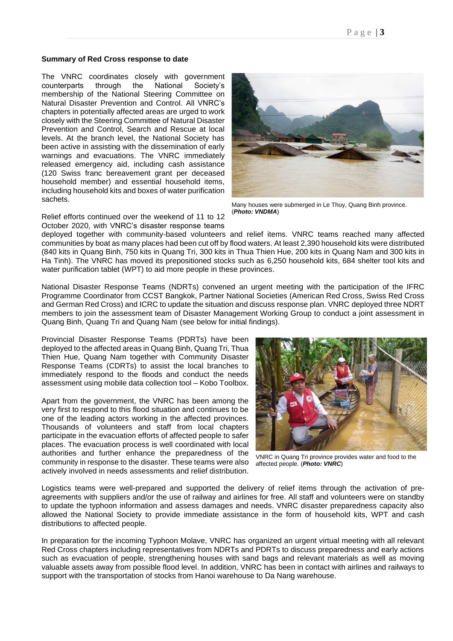#### **Summary of Red Cross response to date**

The VNRC coordinates closely with government counterparts through the National Society's membership of the National Steering Committee on Natural Disaster Prevention and Control. All VNRC's chapters in potentially affected areas are urged to work closely with the Steering Committee of Natural Disaster Prevention and Control, Search and Rescue at local levels. At the branch level, the National Society has been active in assisting with the dissemination of early warnings and evacuations. The VNRC immediately released emergency aid, including cash assistance (120 Swiss franc bereavement grant per deceased household member) and essential household items, including household kits and boxes of water purification sachets.

Relief efforts continued over the weekend of 11 to 12 October 2020, with VNRC's disaster response teams



Many houses were submerged in Le Thuy, Quang Binh province. (*Photo: VNDMA*)

deployed together with community-based volunteers and relief items. VNRC teams reached many affected communities by boat as many places had been cut off by flood waters. At least 2,390 household kits were distributed (840 kits in Quang Binh, 750 kits in Quang Tri, 300 kits in Thua Thien Hue, 200 kits in Quang Nam and 300 kits in Ha Tinh). The VNRC has moved its prepositioned stocks such as 6,250 household kits, 684 shelter tool kits and water purification tablet (WPT) to aid more people in these provinces.

National Disaster Response Teams (NDRTs) convened an urgent meeting with the participation of the IFRC Programme Coordinator from CCST Bangkok, Partner National Societies (American Red Cross, Swiss Red Cross and German Red Cross) and ICRC to update the situation and discuss response plan. VNRC deployed three NDRT members to join the assessment team of Disaster Management Working Group to conduct a joint assessment in Quang Binh, Quang Tri and Quang Nam (see below for initial findings).

Provincial Disaster Response Teams (PDRTs) have been deployed to the affected areas in Quang Binh, Quang Tri, Thua Thien Hue, Quang Nam together with Community Disaster Response Teams (CDRTs) to assist the local branches to immediately respond to the floods and conduct the needs assessment using mobile data collection tool – Kobo Toolbox.

Apart from the government, the VNRC has been among the very first to respond to this flood situation and continues to be one of the leading actors working in the affected provinces. Thousands of volunteers and staff from local chapters participate in the evacuation efforts of affected people to safer places. The evacuation process is well coordinated with local authorities and further enhance the preparedness of the community in response to the disaster. These teams were also actively involved in needs assessments and relief distribution.



VNRC in Quang Tri province provides water and food to the affected people. (*Photo: VNRC*)

Logistics teams were well-prepared and supported the delivery of relief items through the activation of preagreements with suppliers and/or the use of railway and airlines for free. All staff and volunteers were on standby to update the typhoon information and assess damages and needs. VNRC disaster preparedness capacity also allowed the National Society to provide immediate assistance in the form of household kits, WPT and cash distributions to affected people.

In preparation for the incoming Typhoon Molave, VNRC has organized an urgent virtual meeting with all relevant Red Cross chapters including representatives from NDRTs and PDRTs to discuss preparedness and early actions such as evacuation of people, strengthening houses with sand bags and relevant materials as well as moving valuable assets away from possible flood level. In addition, VNRC has been in contact with airlines and railways to support with the transportation of stocks from Hanoi warehouse to Da Nang warehouse.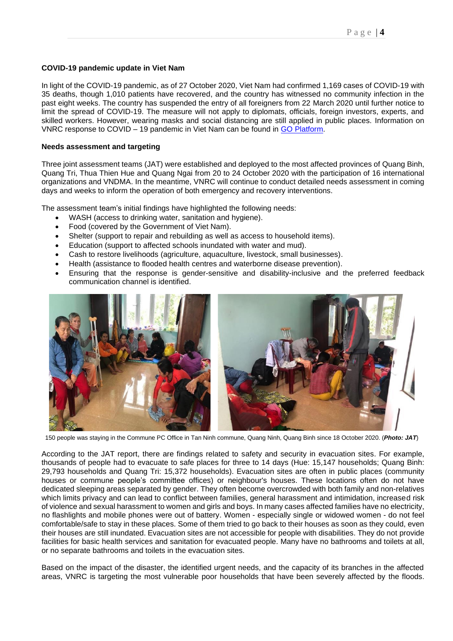#### **COVID-19 pandemic update in Viet Nam**

In light of the COVID-19 pandemic, as of 27 October 2020, Viet Nam had confirmed 1,169 cases of COVID-19 with 35 deaths, though 1,010 patients have recovered, and the country has witnessed no community infection in the past eight weeks. The country has suspended the entry of all foreigners from 22 March 2020 until further notice to limit the spread of COVID-19. The measure will not apply to diplomats, officials, foreign investors, experts, and skilled workers. However, wearing masks and social distancing are still applied in public places. Information on VNRC response to COVID – 19 pandemic in Viet Nam can be found in [GO Platform.](https://go.ifrc.org/emergencies/4285#details)

#### **Needs assessment and targeting**

Three joint assessment teams (JAT) were established and deployed to the most affected provinces of Quang Binh, Quang Tri, Thua Thien Hue and Quang Ngai from 20 to 24 October 2020 with the participation of 16 international organizations and VNDMA. In the meantime, VNRC will continue to conduct detailed needs assessment in coming days and weeks to inform the operation of both emergency and recovery interventions.

The assessment team's initial findings have highlighted the following needs:

- WASH (access to drinking water, sanitation and hygiene).
- Food (covered by the Government of Viet Nam).
- Shelter (support to repair and rebuilding as well as access to household items).
- Education (support to affected schools inundated with water and mud).
- Cash to restore livelihoods (agriculture, aquaculture, livestock, small businesses).
- Health (assistance to flooded health centres and waterborne disease prevention).
- Ensuring that the response is gender-sensitive and disability-inclusive and the preferred feedback communication channel is identified.



150 people was staying in the Commune PC Office in Tan Ninh commune, Quang Ninh, Quang Binh since 18 October 2020. (*Photo: JAT*)

According to the JAT report, there are findings related to safety and security in evacuation sites. For example, thousands of people had to evacuate to safe places for three to 14 days (Hue: 15,147 households; Quang Binh: 29,793 households and Quang Tri: 15,372 households). Evacuation sites are often in public places (community houses or commune people's committee offices) or neighbour's houses. These locations often do not have dedicated sleeping areas separated by gender. They often become overcrowded with both family and non-relatives which limits privacy and can lead to conflict between families, general harassment and intimidation, increased risk of violence and sexual harassment to women and girls and boys. In many cases affected families have no electricity, no flashlights and mobile phones were out of battery. Women - especially single or widowed women - do not feel comfortable/safe to stay in these places. Some of them tried to go back to their houses as soon as they could, even their houses are still inundated. Evacuation sites are not accessible for people with disabilities. They do not provide facilities for basic health services and sanitation for evacuated people. Many have no bathrooms and toilets at all, or no separate bathrooms and toilets in the evacuation sites.

Based on the impact of the disaster, the identified urgent needs, and the capacity of its branches in the affected areas, VNRC is targeting the most vulnerable poor households that have been severely affected by the floods.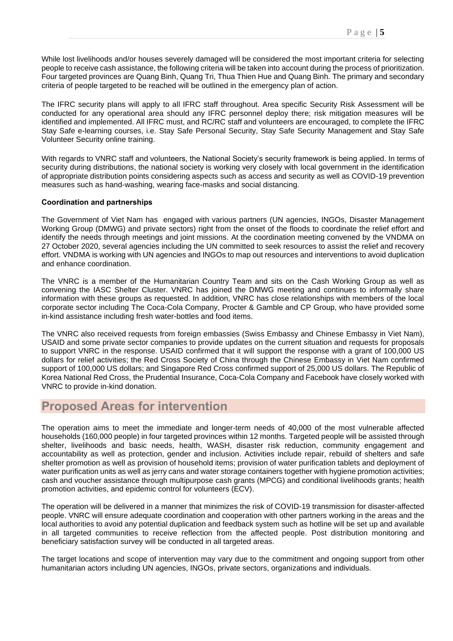While lost livelihoods and/or houses severely damaged will be considered the most important criteria for selecting people to receive cash assistance, the following criteria will be taken into account during the process of prioritization. Four targeted provinces are Quang Binh, Quang Tri, Thua Thien Hue and Quang Binh. The primary and secondary criteria of people targeted to be reached will be outlined in the emergency plan of action.

The IFRC security plans will apply to all IFRC staff throughout. Area specific Security Risk Assessment will be conducted for any operational area should any IFRC personnel deploy there; risk mitigation measures will be identified and implemented. All IFRC must, and RC/RC staff and volunteers are encouraged, to complete the IFRC Stay Safe e-learning courses, i.e. Stay Safe Personal Security, Stay Safe Security Management and Stay Safe Volunteer Security online training.

With regards to VNRC staff and volunteers, the National Society's security framework is being applied. In terms of security during distributions, the national society is working very closely with local government in the identification of appropriate distribution points considering aspects such as access and security as well as COVID-19 prevention measures such as hand-washing, wearing face-masks and social distancing.

#### **Coordination and partnerships**

The Government of Viet Nam has engaged with various partners (UN agencies, INGOs, Disaster Management Working Group (DMWG) and private sectors) right from the onset of the floods to coordinate the relief effort and identify the needs through meetings and joint missions. At the coordination meeting convened by the VNDMA on 27 October 2020, several agencies including the UN committed to seek resources to assist the relief and recovery effort. VNDMA is working with UN agencies and INGOs to map out resources and interventions to avoid duplication and enhance coordination.

The VNRC is a member of the Humanitarian Country Team and sits on the Cash Working Group as well as convening the IASC Shelter Cluster. VNRC has joined the DMWG meeting and continues to informally share information with these groups as requested. In addition, VNRC has close relationships with members of the local corporate sector including The Coca-Cola Company, Procter & Gamble and CP Group, who have provided some in-kind assistance including fresh water-bottles and food items.

The VNRC also received requests from foreign embassies (Swiss Embassy and Chinese Embassy in Viet Nam), USAID and some private sector companies to provide updates on the current situation and requests for proposals to support VNRC in the response. USAID confirmed that it will support the response with a grant of 100,000 US dollars for relief activities; the Red Cross Society of China through the Chinese Embassy in Viet Nam confirmed support of 100,000 US dollars; and Singapore Red Cross confirmed support of 25,000 US dollars. The Republic of Korea National Red Cross, the Prudential Insurance, Coca-Cola Company and Facebook have closely worked with VNRC to provide in-kind donation.

## **Proposed Areas for intervention**

The operation aims to meet the immediate and longer-term needs of 40,000 of the most vulnerable affected households (160,000 people) in four targeted provinces within 12 months. Targeted people will be assisted through shelter, livelihoods and basic needs, health, WASH, disaster risk reduction, community engagement and accountability as well as protection, gender and inclusion. Activities include repair, rebuild of shelters and safe shelter promotion as well as provision of household items; provision of water purification tablets and deployment of water purification units as well as jerry cans and water storage containers together with hygiene promotion activities; cash and voucher assistance through multipurpose cash grants (MPCG) and conditional livelihoods grants; health promotion activities, and epidemic control for volunteers (ECV).

The operation will be delivered in a manner that minimizes the risk of COVID-19 transmission for disaster-affected people. VNRC will ensure adequate coordination and cooperation with other partners working in the areas and the local authorities to avoid any potential duplication and feedback system such as hotline will be set up and available in all targeted communities to receive reflection from the affected people. Post distribution monitoring and beneficiary satisfaction survey will be conducted in all targeted areas.

The target locations and scope of intervention may vary due to the commitment and ongoing support from other humanitarian actors including UN agencies, INGOs, private sectors, organizations and individuals.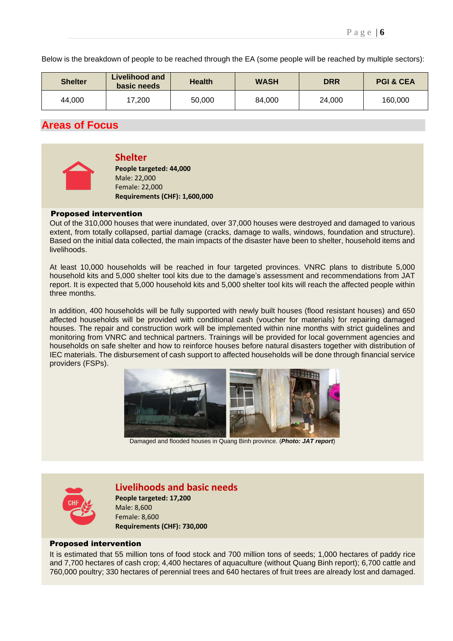Below is the breakdown of people to be reached through the EA (some people will be reached by multiple sectors):

| <b>Shelter</b> | Livelihood and<br>basic needs | <b>Health</b> | <b>WASH</b> | <b>DRR</b> | <b>PGI &amp; CEA</b> |
|----------------|-------------------------------|---------------|-------------|------------|----------------------|
| 44,000         | 17,200                        | 50,000        | 84,000      | 24,000     | 160,000              |

## **Areas of Focus**



#### **Shelter**

**People targeted: 44,000** Male: 22,000 Female: 22,000 **Requirements (CHF): 1,600,000**

### Proposed intervention

Out of the 310,000 houses that were inundated, over 37,000 houses were destroyed and damaged to various extent, from totally collapsed, partial damage (cracks, damage to walls, windows, foundation and structure). Based on the initial data collected, the main impacts of the disaster have been to shelter, household items and livelihoods.

At least 10,000 households will be reached in four targeted provinces. VNRC plans to distribute 5,000 household kits and 5,000 shelter tool kits due to the damage's assessment and recommendations from JAT report. It is expected that 5,000 household kits and 5,000 shelter tool kits will reach the affected people within three months.

In addition, 400 households will be fully supported with newly built houses (flood resistant houses) and 650 affected households will be provided with conditional cash (voucher for materials) for repairing damaged houses. The repair and construction work will be implemented within nine months with strict guidelines and monitoring from VNRC and technical partners. Trainings will be provided for local government agencies and households on safe shelter and how to reinforce houses before natural disasters together with distribution of IEC materials. The disbursement of cash support to affected households will be done through financial service providers (FSPs).



Damaged and flooded houses in Quang Binh province. (*Photo: JAT report*)



## **Livelihoods and basic needs**

**People targeted: 17,200** Male: 8,600 Female: 8,600 **Requirements (CHF): 730,000**

### Proposed intervention

It is estimated that 55 million tons of food stock and 700 million tons of seeds; 1,000 hectares of paddy rice and 7,700 hectares of cash crop; 4,400 hectares of aquaculture (without Quang Binh report); 6,700 cattle and 760,000 poultry; 330 hectares of perennial trees and 640 hectares of fruit trees are already lost and damaged.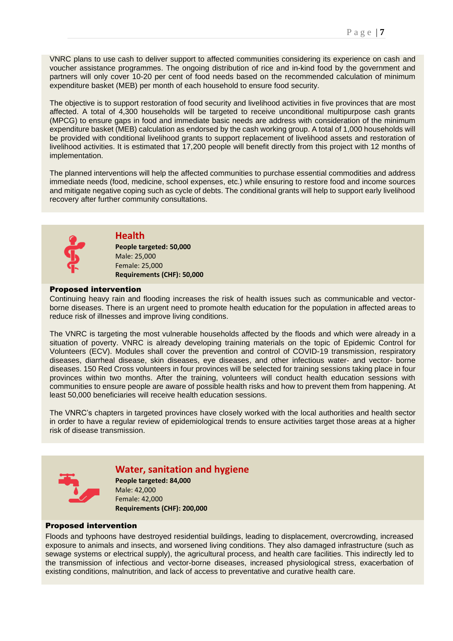VNRC plans to use cash to deliver support to affected communities considering its experience on cash and voucher assistance programmes. The ongoing distribution of rice and in-kind food by the government and partners will only cover 10-20 per cent of food needs based on the recommended calculation of minimum expenditure basket (MEB) per month of each household to ensure food security.

The objective is to support restoration of food security and livelihood activities in five provinces that are most affected. A total of 4,300 households will be targeted to receive unconditional multipurpose cash grants (MPCG) to ensure gaps in food and immediate basic needs are address with consideration of the minimum expenditure basket (MEB) calculation as endorsed by the cash working group. A total of 1,000 households will be provided with conditional livelihood grants to support replacement of livelihood assets and restoration of livelihood activities. It is estimated that 17,200 people will benefit directly from this project with 12 months of implementation.

The planned interventions will help the affected communities to purchase essential commodities and address immediate needs (food, medicine, school expenses, etc.) while ensuring to restore food and income sources and mitigate negative coping such as cycle of debts. The conditional grants will help to support early livelihood recovery after further community consultations.



### **Health**

**People targeted: 50,000** Male: 25,000 Female: 25,000 **Requirements (CHF): 50,000**

#### Proposed intervention

Continuing heavy rain and flooding increases the risk of health issues such as communicable and vectorborne diseases. There is an urgent need to promote health education for the population in affected areas to reduce risk of illnesses and improve living conditions.

The VNRC is targeting the most vulnerable households affected by the floods and which were already in a situation of poverty. VNRC is already developing training materials on the topic of Epidemic Control for Volunteers (ECV). Modules shall cover the prevention and control of COVID-19 transmission, respiratory diseases, diarrheal disease, skin diseases, eye diseases, and other infectious water- and vector- borne diseases. 150 Red Cross volunteers in four provinces will be selected for training sessions taking place in four provinces within two months. After the training, volunteers will conduct health education sessions with communities to ensure people are aware of possible health risks and how to prevent them from happening. At least 50,000 beneficiaries will receive health education sessions.

The VNRC's chapters in targeted provinces have closely worked with the local authorities and health sector in order to have a regular review of epidemiological trends to ensure activities target those areas at a higher risk of disease transmission.



### **Water, sanitation and hygiene**

**People targeted: 84,000** Male: 42,000 Female: 42,000 **Requirements (CHF): 200,000**

#### Proposed intervention

Floods and typhoons have destroyed residential buildings, leading to displacement, overcrowding, increased exposure to animals and insects, and worsened living conditions. They also damaged infrastructure (such as sewage systems or electrical supply), the agricultural process, and health care facilities. This indirectly led to the transmission of infectious and vector-borne diseases, increased physiological stress, exacerbation of existing conditions, malnutrition, and lack of access to preventative and curative health care.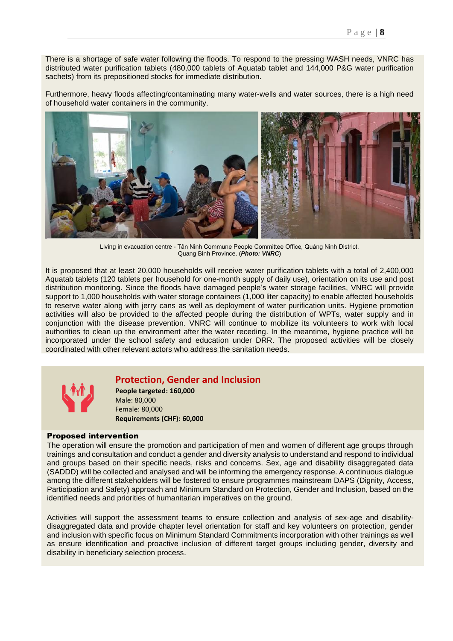There is a shortage of safe water following the floods. To respond to the pressing WASH needs, VNRC has distributed water purification tablets (480,000 tablets of Aquatab tablet and 144,000 P&G water purification sachets) from its prepositioned stocks for immediate distribution.

Furthermore, heavy floods affecting/contaminating many water-wells and water sources, there is a high need of household water containers in the community.



Living in evacuation centre - Tân Ninh Commune People Committee Office, Quảng Ninh District, Quang Binh Province. (*Photo: VNRC*)

It is proposed that at least 20,000 households will receive water purification tablets with a total of 2,400,000 Aquatab tablets (120 tablets per household for one-month supply of daily use), orientation on its use and post distribution monitoring. Since the floods have damaged people's water storage facilities, VNRC will provide support to 1,000 households with water storage containers (1,000 liter capacity) to enable affected households to reserve water along with jerry cans as well as deployment of water purification units. Hygiene promotion activities will also be provided to the affected people during the distribution of WPTs, water supply and in conjunction with the disease prevention. VNRC will continue to mobilize its volunteers to work with local authorities to clean up the environment after the water receding. In the meantime, hygiene practice will be incorporated under the school safety and education under DRR. The proposed activities will be closely coordinated with other relevant actors who address the sanitation needs.



## **Protection, Gender and Inclusion**

**People targeted: 160,000** Male: 80,000 Female: 80,000 **Requirements (CHF): 60,000**

### Proposed intervention

The operation will ensure the promotion and participation of men and women of different age groups through trainings and consultation and conduct a gender and diversity analysis to understand and respond to individual and groups based on their specific needs, risks and concerns. Sex, age and disability disaggregated data (SADDD) will be collected and analysed and will be informing the emergency response. A continuous dialogue among the different stakeholders will be fostered to ensure programmes mainstream DAPS (Dignity, Access, Participation and Safety) approach and Minimum Standard on Protection, Gender and Inclusion, based on the identified needs and priorities of humanitarian imperatives on the ground.

Activities will support the assessment teams to ensure collection and analysis of sex-age and disabilitydisaggregated data and provide chapter level orientation for staff and key volunteers on protection, gender and inclusion with specific focus on Minimum Standard Commitments incorporation with other trainings as well as ensure identification and proactive inclusion of different target groups including gender, diversity and disability in beneficiary selection process.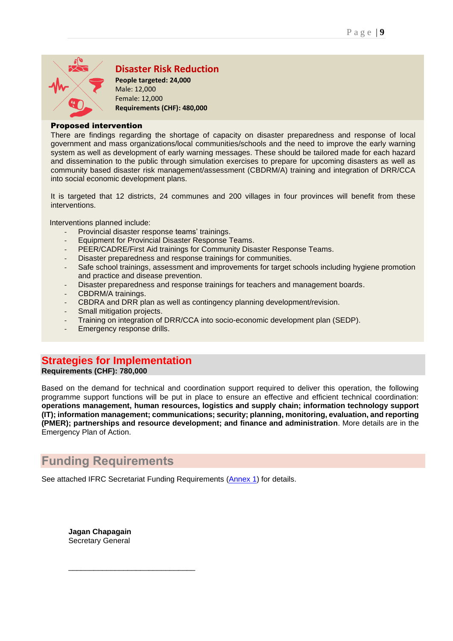

## **Disaster Risk Reduction**

**People targeted: 24,000** Male: 12,000 Female: 12,000 **Requirements (CHF): 480,000**

### Proposed intervention

There are findings regarding the shortage of capacity on disaster preparedness and response of local government and mass organizations/local communities/schools and the need to improve the early warning system as well as development of early warning messages. These should be tailored made for each hazard and dissemination to the public through simulation exercises to prepare for upcoming disasters as well as community based disaster risk management/assessment (CBDRM/A) training and integration of DRR/CCA into social economic development plans.

It is targeted that 12 districts, 24 communes and 200 villages in four provinces will benefit from these interventions.

Interventions planned include:

- *-* Provincial disaster response teams' trainings.
- *-* Equipment for Provincial Disaster Response Teams.
- *-* PEER/CADRE/First Aid trainings for Community Disaster Response Teams.
- *-* Disaster preparedness and response trainings for communities.
- *-* Safe school trainings, assessment and improvements for target schools including hygiene promotion and practice and disease prevention.
- *-* Disaster preparedness and response trainings for teachers and management boards.
- *-* CBDRM/A trainings.
- *-* CBDRA and DRR plan as well as contingency planning development/revision.
- **Small mitigation projects.**
- *-* Training on integration of DRR/CCA into socio-economic development plan (SEDP).
- *-* Emergency response drills.

## **Strategies for Implementation**

**Requirements (CHF): 780,000**

Based on the demand for technical and coordination support required to deliver this operation, the following programme support functions will be put in place to ensure an effective and efficient technical coordination: **operations management, human resources, logistics and supply chain; information technology support (IT); information management; communications; security; planning, monitoring, evaluation, and reporting (PMER); partnerships and resource development; and finance and administration**. More details are in the Emergency Plan of Action.

# **Funding Requirements**

See attached IFRC Secretariat Funding Requirements [\(Annex 1\)](#page-10-0) for details.

**Jagan Chapagain** Secretary General

\_\_\_\_\_\_\_\_\_\_\_\_\_\_\_\_\_\_\_\_\_\_\_\_\_\_\_\_\_\_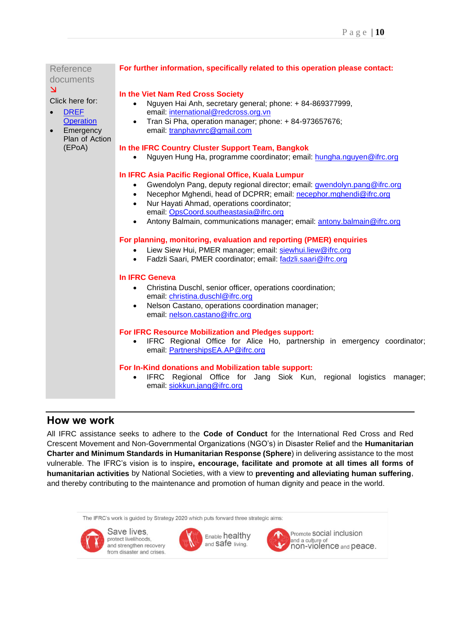| Reference<br>documents                   | For further information, specifically related to this operation please contact:       |  |  |
|------------------------------------------|---------------------------------------------------------------------------------------|--|--|
| $\overline{\mathbf{z}}$                  | In the Viet Nam Red Cross Society                                                     |  |  |
| Click here for:                          | Nguyen Hai Anh, secretary general; phone: + 84-869377999,<br>$\bullet$                |  |  |
| <b>DREF</b><br>$\bullet$                 | email: international@redcross.org.vn                                                  |  |  |
| <b>Operation</b>                         | Tran Si Pha, operation manager; phone: + 84-973657676;<br>$\bullet$                   |  |  |
| Emergency<br>$\bullet$<br>Plan of Action | email: tranphavnrc@gmail.com                                                          |  |  |
| (EPoA)                                   | In the IFRC Country Cluster Support Team, Bangkok                                     |  |  |
|                                          | Nguyen Hung Ha, programme coordinator; email: hungha.nguyen@ifrc.org                  |  |  |
|                                          |                                                                                       |  |  |
|                                          | In IFRC Asia Pacific Regional Office, Kuala Lumpur                                    |  |  |
|                                          | Gwendolyn Pang, deputy regional director; email: gwendolyn.pang@ifrc.org<br>$\bullet$ |  |  |
|                                          | Necephor Mghendi, head of DCPRR; email: necephor.mghendi@ifrc.org<br>$\bullet$        |  |  |
|                                          | Nur Hayati Ahmad, operations coordinator;<br>$\bullet$                                |  |  |
|                                          | email: OpsCoord.southeastasia@ifrc.org                                                |  |  |
|                                          | Antony Balmain, communications manager; email: antony.balmain@ifrc.org<br>$\bullet$   |  |  |
|                                          | For planning, monitoring, evaluation and reporting (PMER) enquiries                   |  |  |
|                                          | Liew Siew Hui, PMER manager; email: siewhui.liew@ifrc.org<br>$\bullet$                |  |  |
|                                          | Fadzli Saari, PMER coordinator; email: fadzli.saari@ifrc.org<br>$\bullet$             |  |  |
|                                          |                                                                                       |  |  |
|                                          | <b>In IFRC Geneva</b>                                                                 |  |  |
|                                          | Christina Duschl, senior officer, operations coordination;<br>$\bullet$               |  |  |
|                                          | email: christina.duschl@ifrc.org                                                      |  |  |
|                                          | Nelson Castano, operations coordination manager;<br>$\bullet$                         |  |  |
|                                          | email: nelson.castano@ifrc.org                                                        |  |  |
|                                          | For IFRC Resource Mobilization and Pledges support:                                   |  |  |
|                                          | IFRC Regional Office for Alice Ho, partnership in emergency coordinator;<br>$\bullet$ |  |  |
|                                          | email: PartnershipsEA.AP@ifrc.org                                                     |  |  |
|                                          |                                                                                       |  |  |
|                                          | For In-Kind donations and Mobilization table support:                                 |  |  |
|                                          | IFRC Regional Office for Jang Siok Kun, regional<br>logistics manager;                |  |  |
|                                          | email: siokkun.jang@ifrc.org                                                          |  |  |
|                                          |                                                                                       |  |  |

## **How we work**

All IFRC assistance seeks to adhere to the **Code of Conduct** for the International Red Cross and Red Crescent Movement and Non-Governmental Organizations (NGO's) in Disaster Relief and the **Humanitarian Charter and Minimum Standards in Humanitarian Response (Sphere**) in delivering assistance to the most vulnerable. The IFRC's vision is to inspire**, encourage, facilitate and promote at all times all forms of humanitarian activities** by National Societies, with a view to **preventing and alleviating human suffering**, and thereby contributing to the maintenance and promotion of human dignity and peace in the world.

The IFRC's work is guided by Strategy 2020 which puts forward three strategic aims:



Save lives. protect livelihoods, and strengthen recovery from disaster and crises.



Enable healthy and safe living.



Promote SOCial inclusion and a culture of<br>non-violence and peace.